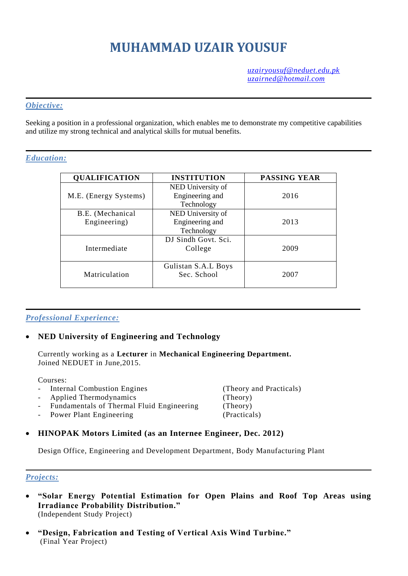# **MUHAMMAD UZAIR YOUSUF**

*[uzairyousuf@neduet.edu.pk](mailto:uzairyousuf@neduet.edu.pk) [uzairned@hotmail.com](mailto:uzairned@hotmail.com)*

### *Objective:*

Seeking a position in a professional organization, which enables me to demonstrate my competitive capabilities and utilize my strong technical and analytical skills for mutual benefits.

## *Education:*

| <b>QUALIFICATION</b>  | <b>INSTITUTION</b>  | <b>PASSING YEAR</b> |
|-----------------------|---------------------|---------------------|
|                       | NED University of   |                     |
| M.E. (Energy Systems) | Engineering and     | 2016                |
|                       | Technology          |                     |
| B.E. (Mechanical      | NED University of   |                     |
| Engineering)          | Engineering and     | 2013                |
|                       | Technology          |                     |
|                       | DJ Sindh Govt. Sci. |                     |
| Intermediate          | College             | 2009                |
|                       |                     |                     |
|                       | Gulistan S.A.L Boys |                     |
| Matriculation         | Sec. School         | 2007                |
|                       |                     |                     |

# *Professional Experience:*

# **NED University of Engineering and Technology**

Currently working as a **Lecturer** in **Mechanical Engineering Department.** Joined NEDUET in June,2015.

Courses:

- Internal Combustion Engines (Theory and Practicals)
- Applied Thermodynamics (Theory)
- Fundamentals of Thermal Fluid Engineering (Theory)
- Power Plant Engineering (Practicals)

#### **HINOPAK Motors Limited (as an Internee Engineer, Dec. 2012)**

Design Office, Engineering and Development Department, Body Manufacturing Plant

#### *Projects:*

- **"Solar Energy Potential Estimation for Open Plains and Roof Top Areas using Irradiance Probability Distribution."** (Independent Study Project)
- **"Design, Fabrication and Testing of Vertical Axis Wind Turbine."** (Final Year Project)